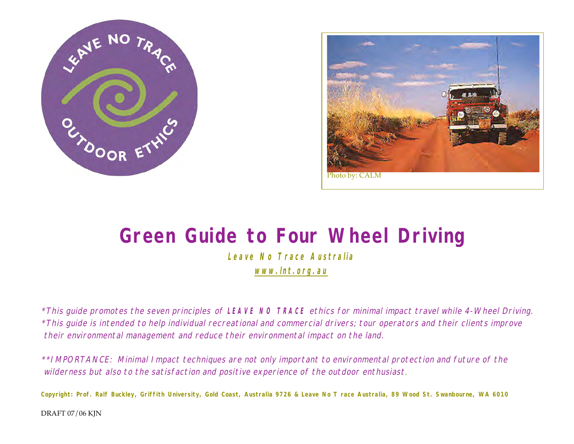



# **Green Guide to Four Wheel Driving**

**Leave No Trace Australia www.lnt.org.au**

\*This guide promotes the seven principles of **LEAVE NO TRACE** ethics for minimal impact travel while 4-Wheel Driving. \*This guide is intended to help individual recreational and commercial drivers; tour operators and their clients improve their environmental management and reduce their environmental impact on the land.

\*\*IMPORTANCE: Minimal Impact techniques are not only important to environmental protection and future of the wilderness but also to the satisfaction and positive experience of the outdoor enthusiast.

Copyright: Prof. Ralf Buckley, Griffith University, Gold Coast, Australia 9726 & Leave No T race Australia, 89 Wood St. Swanbourne, WA 6010

DRAFT 07/06 KJN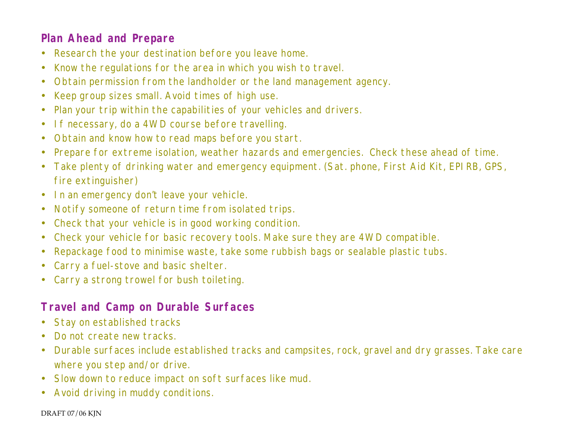#### **Plan Ahead and Prepare**

- Research the your destination before you leave home.
- Know the regulations for the area in which you wish to travel.
- Obtain permission from the landholder or the land management agency.
- Keep group sizes small. Avoid times of high use.
- Plan your trip within the capabilities of your vehicles and drivers.
- If necessary, do a 4WD course before travelling.
- Obtain and know how to read maps before you start.
- Prepare for extreme isolation, weather hazards and emergencies. Check these ahead of time.
- Take plenty of drinking water and emergency equipment. (Sat. phone, First Aid Kit, EPIRB, GPS, fire extinguisher)
- In an emergency don't leave your vehicle.
- Notify someone of return time from isolated trips.
- Check that your vehicle is in good working condition.
- Check your vehicle for basic recovery tools. Make sure they are 4WD compatible.
- Repackage food to minimise waste, take some rubbish bags or sealable plastic tubs.
- Carry a fuel-stove and basic shelter.
- Carry a strong trowel for bush toileting.

#### **Travel and Camp on Durable Surfaces**

- Stay on established tracks
- Do not create new tracks.
- Durable surfaces include established tracks and campsites, rock, gravel and dry grasses. Take care where you step and/or drive.
- Slow down to reduce impact on soft surfaces like mud.
- Avoid driving in muddy conditions.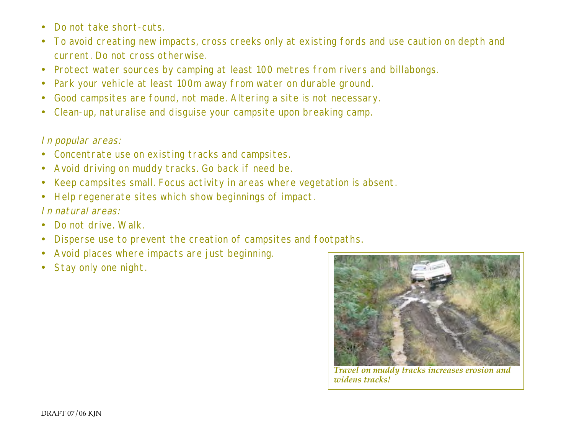- Do not take short-cuts.
- To avoid creating new impacts, cross creeks only at existing fords and use caution on depth and current. Do not cross otherwise.
- Protect water sources by camping at least 100 metres from rivers and billabongs.
- Park your vehicle at least 100m away from water on durable ground.
- Good campsites are found, not made. Altering a site is not necessary.
- Clean-up, naturalise and disguise your campsite upon breaking camp.

#### In popular areas:

- Concentrate use on existing tracks and campsites.
- Avoid driving on muddy tracks. Go back if need be.
- Keep campsites small. Focus activity in areas where vegetation is absent.
- Help regenerate sites which show beginnings of impact. In natural areas:
- Do not drive. Walk.
- Disperse use to prevent the creation of campsites and footpaths.
- Avoid places where impacts are just beginning.
- Stay only one night.



*Travel on muddy tracks increases erosion and widens tracks!*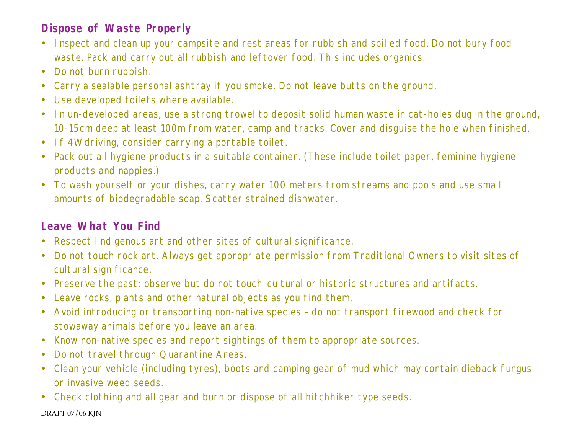### **Dispose of Waste Properly**

- Inspect and clean up your campsite and rest areas for rubbish and spilled food. Do not bury food waste. Pack and carry out all rubbish and leftover food. This includes organics.
- Do not burn rubbish.
- Carry a sealable personal ashtray if you smoke. Do not leave butts on the ground.
- Use developed toilets where available.
- In un-developed areas, use a strong trowel to deposit solid human waste in cat-holes dug in the ground, 10-15cm deep at least 100m from water, camp and tracks. Cover and disguise the hole when finished.
- If 4Wdriving, consider carrying a portable toilet.
- Pack out all hygiene products in a suitable container. (These include toilet paper, feminine hygiene products and nappies.)
- To wash yourself or your dishes, carry water 100 meters from streams and pools and use small amounts of biodegradable soap. Scatter strained dishwater.

### **Leave What You Find**

- Respect Indigenous art and other sites of cultural significance.
- Do not touch rock art. Always get appropriate permission from Traditional Owners to visit sites of cultural significance.
- Preserve the past: observe but do not touch cultural or historic structures and artifacts.
- Leave rocks, plants and other natural objects as you find them.
- Avoid introducing or transporting non-native species do not transport firewood and check for stowaway animals before you leave an area.
- Know non-native species and report sightings of them to appropriate sources.
- Do not travel through Quarantine Areas.
- Clean your vehicle (including tyres), boots and camping gear of mud which may contain dieback fungus or invasive weed seeds.
- Check clothing and all gear and burn or dispose of all hitchhiker type seeds.

DRAFT 07/06 KJN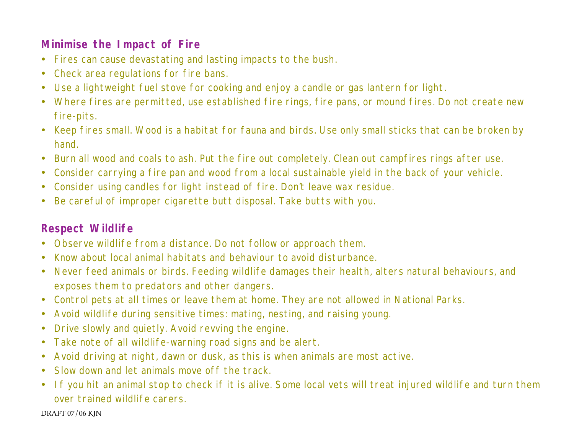#### **Minimise the Impact of Fire**

- Fires can cause devastating and lasting impacts to the bush.
- Check area regulations for fire bans.
- Use a lightweight fuel stove for cooking and enjoy a candle or gas lantern for light.
- Where fires are permitted, use established fire rings, fire pans, or mound fires. Do not create new fire-pits.
- Keep fires small. Wood is a habitat for fauna and birds. Use only small sticks that can be broken by hand.
- Burn all wood and coals to ash. Put the fire out completely. Clean out campfires rings after use.
- Consider carrying a fire pan and wood from a local sustainable yield in the back of your vehicle.
- Consider using candles for light instead of fire. Don't leave wax residue.
- Be careful of improper cigarette butt disposal. Take butts with you.

#### **Respect Wildlife**

- Observe wildlife from a distance. Do not follow or approach them.
- Know about local animal habitats and behaviour to avoid disturbance.
- Never feed animals or birds. Feeding wildlife damages their health, alters natural behaviours, and exposes them to predators and other dangers.
- Control pets at all times or leave them at home. They are not allowed in National Parks.
- Avoid wildlife during sensitive times: mating, nesting, and raising young.
- Drive slowly and quietly. Avoid revving the engine.
- Take note of all wildlife-warning road signs and be alert.
- Avoid driving at night, dawn or dusk, as this is when animals are most active.
- Slow down and let animals move off the track.
- If you hit an animal stop to check if it is alive. Some local vets will treat injured wildlife and turn them over trained wildlife carers.

DRAFT 07/06 KJN